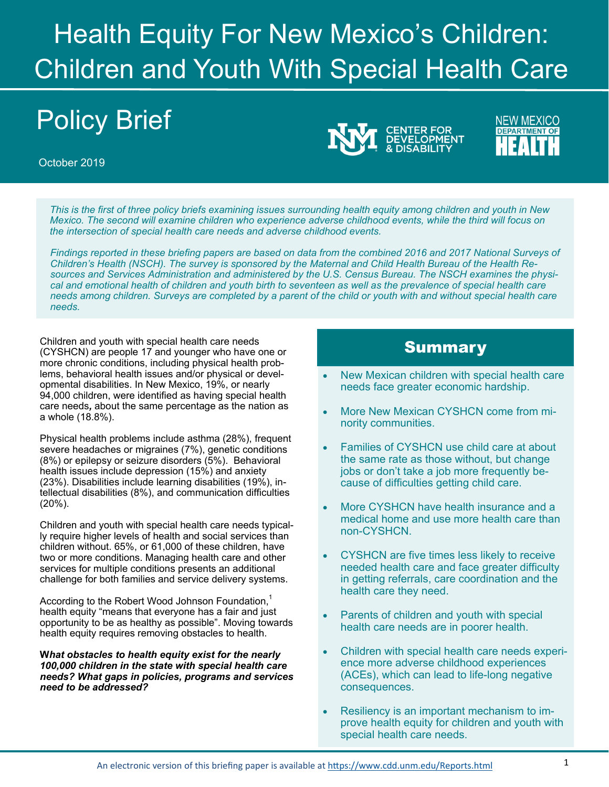# Health Equity For New Mexico's Children: Children and Youth With Special Health Care

# Policy Brief

October 2019

*This is the first of three policy briefs examining issues surrounding health equity among children and youth in New Mexico. The second will examine children who experience adverse childhood events, while the third will focus on the intersection of special health care needs and adverse childhood events.* 

*Findings reported in these briefing papers are based on data from the combined 2016 and 2017 National Surveys of Children's Health (NSCH). The survey is sponsored by the Maternal and Child Health Bureau of the Health Resources and Services Administration and administered by the U.S. Census Bureau. The NSCH examines the physical and emotional health of children and youth birth to seventeen as well as the prevalence of special health care needs among children. Surveys are completed by a parent of the child or youth with and without special health care needs.* 

Children and youth with special health care needs  $\blacksquare$  which is a summary  $\blacksquare$ more chronic conditions, including physical health problems, behavioral health issues and/or physical or developmental disabilities. In New Mexico, 19%, or nearly 94,000 children, were identified as having special health care needs*,* about the same percentage as the nation as a whole (18.8%).

Physical health problems include asthma (28%), frequent severe headaches or migraines (7%), genetic conditions (8%) or epilepsy or seizure disorders (5%). Behavioral health issues include depression (15%) and anxiety (23%). Disabilities include learning disabilities (19%), intellectual disabilities (8%), and communication difficulties (20%).

Children and youth with special health care needs typically require higher levels of health and social services than children without. 65%, or 61,000 of these children, have two or more conditions. Managing health care and other services for multiple conditions presents an additional challenge for both families and service delivery systems.

According to the Robert Wood Johnson Foundation, $<sup>1</sup>$ </sup> health equity "means that everyone has a fair and just opportunity to be as healthy as possible". Moving towards health equity requires removing obstacles to health.

**W***hat obstacles to health equity exist for the nearly 100,000 children in the state with special health care needs? What gaps in policies, programs and services need to be addressed?* 

**CENTER FOR<br>DEVELOPMENT** 

**NEW MEXICO** 

**DEPARTMENT OF** 

- New Mexican children with special health care needs face greater economic hardship.
- More New Mexican CYSHCN come from minority communities.
- Families of CYSHCN use child care at about the same rate as those without, but change jobs or don't take a job more frequently because of difficulties getting child care.
- More CYSHCN have health insurance and a medical home and use more health care than non-CYSHCN.
- CYSHCN are five times less likely to receive needed health care and face greater difficulty in getting referrals, care coordination and the health care they need.
- Parents of children and youth with special health care needs are in poorer health.
- Children with special health care needs experience more adverse childhood experiences (ACEs), which can lead to life-long negative consequences.
- Resiliency is an important mechanism to improve health equity for children and youth with special health care needs.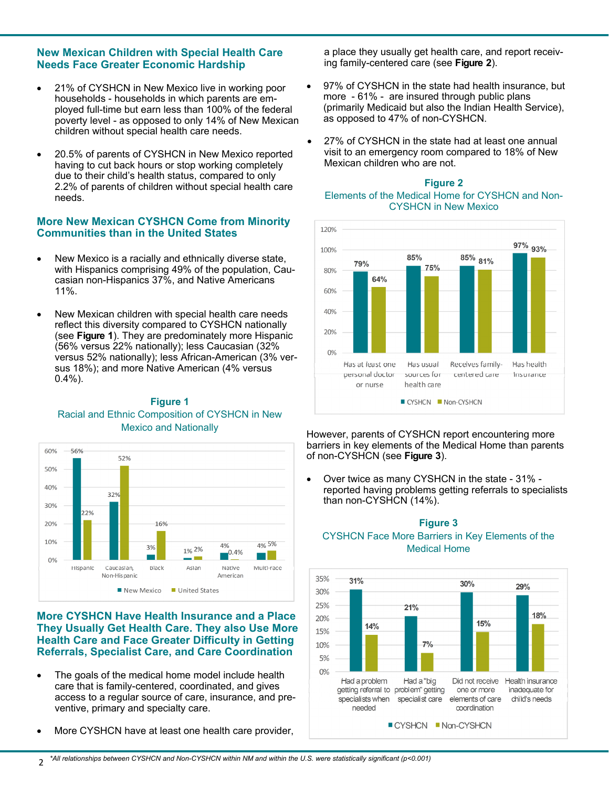# **New Mexican Children with Special Health Care Needs Face Greater Economic Hardship**

- 21% of CYSHCN in New Mexico live in working poor households - households in which parents are employed full-time but earn less than 100% of the federal poverty level - as opposed to only 14% of New Mexican children without special health care needs.
- 20.5% of parents of CYSHCN in New Mexico reported having to cut back hours or stop working completely due to their child's health status, compared to only 2.2% of parents of children without special health care needs.

# **More New Mexican CYSHCN Come from Minority Communities than in the United States**

- New Mexico is a racially and ethnically diverse state, with Hispanics comprising 49% of the population, Caucasian non-Hispanics 37%, and Native Americans 11%.
- New Mexican children with special health care needs reflect this diversity compared to CYSHCN nationally (see **Figure 1**). They are predominately more Hispanic (56% versus 22% nationally); less Caucasian (32% versus 52% nationally); less African-American (3% versus 18%); and more Native American (4% versus 0.4%).

# **Figure 1**  Racial and Ethnic Composition of CYSHCN in New Mexico and Nationally



#### **More CYSHCN Have Health Insurance and a Place They Usually Get Health Care. They also Use More Health Care and Face Greater Difficulty in Getting Referrals, Specialist Care, and Care Coordination**

- The goals of the medical home model include health care that is family-centered, coordinated, and gives access to a regular source of care, insurance, and preventive, primary and specialty care.
- More CYSHCN have at least one health care provider,

a place they usually get health care, and report receiving family-centered care (see **Figure 2**).

- 97% of CYSHCN in the state had health insurance, but more - 61% - are insured through public plans (primarily Medicaid but also the Indian Health Service), as opposed to 47% of non-CYSHCN.
- $\bullet$ 27% of CYSHCN in the state had at least one annual visit to an emergency room compared to 18% of New Mexican children who are not.

#### **Figure 2**  Elements of the Medical Home for CYSHCN and Non-CYSHCN in New Mexico



However, parents of CYSHCN report encountering more barriers in key elements of the Medical Home than parents of non-CYSHCN (see **Figure 3**).

 Over twice as many CYSHCN in the state - 31% reported having problems getting referrals to specialists than non-CYSHCN (14%).



#### **Figure 3**  CYSHCN Face More Barriers in Key Elements of the Medical Home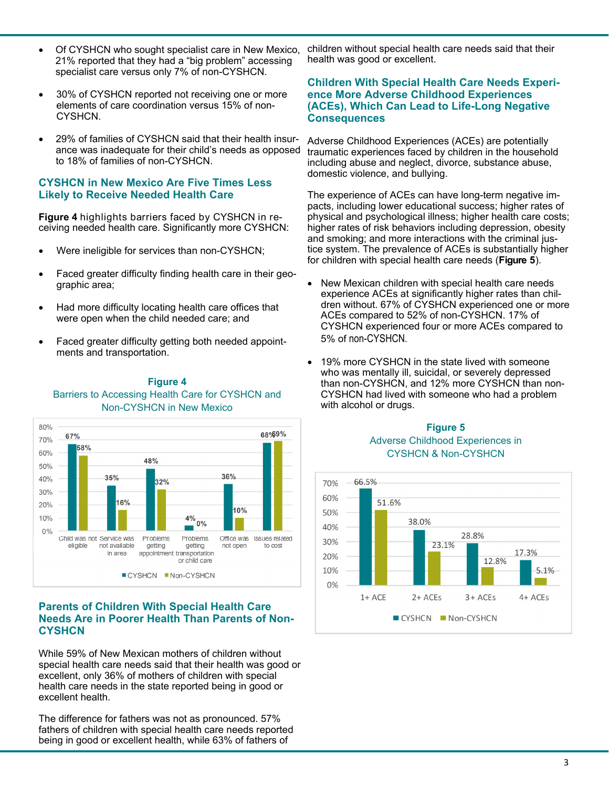- Of CYSHCN who sought specialist care in New Mexico, 21% reported that they had a "big problem" accessing specialist care versus only 7% of non-CYSHCN.
- 30% of CYSHCN reported not receiving one or more elements of care coordination versus 15% of non-CYSHCN.
- 29% of families of CYSHCN said that their health insurance was inadequate for their child's needs as opposed to 18% of families of non-CYSHCN.

#### **CYSHCN in New Mexico Are Five Times Less Likely to Receive Needed Health Care**

**Figure 4** highlights barriers faced by CYSHCN in receiving needed health care. Significantly more CYSHCN:

- Were ineligible for services than non-CYSHCN;
- Faced greater difficulty finding health care in their geographic area;
- Had more difficulty locating health care offices that were open when the child needed care; and
- Faced greater difficulty getting both needed appointments and transportation.



#### **Figure 4**  Barriers to Accessing Health Care for CYSHCN and Non-CYSHCN in New Mexico

# **Parents of Children With Special Health Care Needs Are in Poorer Health Than Parents of Non-CYSHCN**

While 59% of New Mexican mothers of children without special health care needs said that their health was good or excellent, only 36% of mothers of children with special health care needs in the state reported being in good or excellent health.

The difference for fathers was not as pronounced. 57% fathers of children with special health care needs reported being in good or excellent health, while 63% of fathers of

children without special health care needs said that their health was good or excellent.

## **Children With Special Health Care Needs Experience More Adverse Childhood Experiences (ACEs), Which Can Lead to Life-Long Negative Consequences**

Adverse Childhood Experiences (ACEs) are potentially traumatic experiences faced by children in the household including abuse and neglect, divorce, substance abuse, domestic violence, and bullying.

 for children with special health care needs (**Figure 5**). The experience of ACEs can have long-term negative impacts, including lower educational success; higher rates of physical and psychological illness; higher health care costs; higher rates of risk behaviors including depression, obesity and smoking; and more interactions with the criminal justice system. The prevalence of ACEs is substantially higher

- New Mexican children with special health care needs experience ACEs at significantly higher rates than children without. 67% of CYSHCN experienced one or more ACEs compared to 52% of non-CYSHCN. 17% of CYSHCN experienced four or more ACEs compared to 5% of non-CYSHCN.
- 19% more CYSHCN in the state lived with someone who was mentally ill, suicidal, or severely depressed than non-CYSHCN, and 12% more CYSHCN than non-CYSHCN had lived with someone who had a problem with alcohol or drugs.

# **Figure 5**  Adverse Childhood Experiences in CYSHCN & Non-CYSHCN

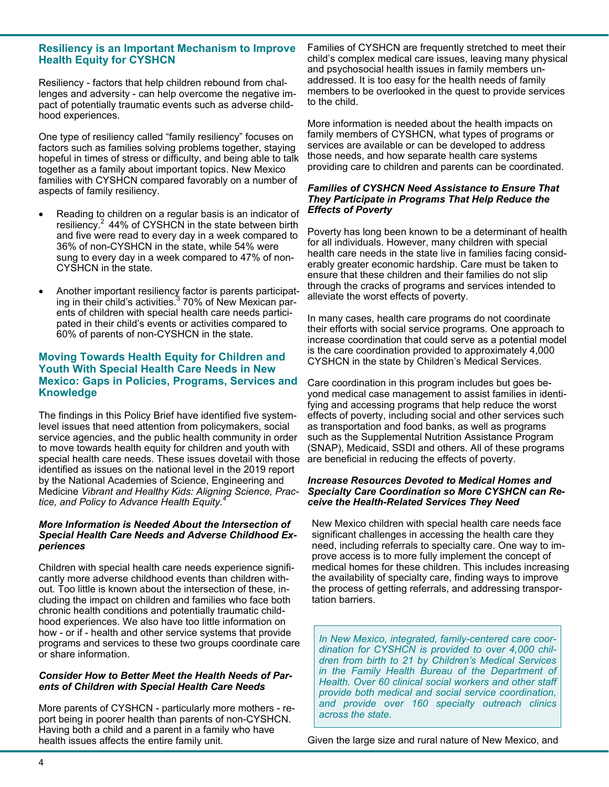## **Resiliency is an Important Mechanism to Improve Health Equity for CYSHCN**

Resiliency - factors that help children rebound from challenges and adversity - can help overcome the negative impact of potentially traumatic events such as adverse childhood experiences.

One type of resiliency called "family resiliency" focuses on factors such as families solving problems together, staying hopeful in times of stress or difficulty, and being able to talk together as a family about important topics. New Mexico families with CYSHCN compared favorably on a number of aspects of family resiliency.

- Reading to children on a regular basis is an indicator of resiliency.<sup>2</sup> 44% of CYSHCN in the state between birth and five were read to every day in a week compared to 36% of non-CYSHCN in the state, while 54% were sung to every day in a week compared to 47% of non-CYSHCN in the state.
- Another important resiliency factor is parents participating in their child's activities.<sup>3</sup> 70% of New Mexican parents of children with special health care needs participated in their child's events or activities compared to 60% of parents of non-CYSHCN in the state.

# **Moving Towards Health Equity for Children and Youth With Special Health Care Needs in New Mexico: Gaps in Policies, Programs, Services and Knowledge**

The findings in this Policy Brief have identified five systemlevel issues that need attention from policymakers, social service agencies, and the public health community in order to move towards health equity for children and youth with special health care needs. These issues dovetail with those identified as issues on the national level in the 2019 report by the National Academies of Science, Engineering and Medicine *Vibrant and Healthy Kids: Aligning Science, Practice, and Policy to Advance Health Equity.<sup>4</sup>*

#### *More Information is Needed About the Intersection of Special Health Care Needs and Adverse Childhood Experiences*

Children with special health care needs experience significantly more adverse childhood events than children without. Too little is known about the intersection of these, including the impact on children and families who face both chronic health conditions and potentially traumatic childhood experiences. We also have too little information on how - or if - health and other service systems that provide programs and services to these two groups coordinate care or share information.

#### *Consider How to Better Meet the Health Needs of Parents of Children with Special Health Care Needs*

More parents of CYSHCN - particularly more mothers - report being in poorer health than parents of non-CYSHCN. Having both a child and a parent in a family who have health issues affects the entire family unit.

Families of CYSHCN are frequently stretched to meet their child's complex medical care issues, leaving many physical and psychosocial health issues in family members unaddressed. It is too easy for the health needs of family members to be overlooked in the quest to provide services to the child.

More information is needed about the health impacts on family members of CYSHCN, what types of programs or services are available or can be developed to address those needs, and how separate health care systems providing care to children and parents can be coordinated.

#### *Families of CYSHCN Need Assistance to Ensure That They Participate in Programs That Help Reduce the Effects of Poverty*

Poverty has long been known to be a determinant of health for all individuals. However, many children with special health care needs in the state live in families facing considerably greater economic hardship. Care must be taken to ensure that these children and their families do not slip through the cracks of programs and services intended to alleviate the worst effects of poverty.

In many cases, health care programs do not coordinate their efforts with social service programs. One approach to increase coordination that could serve as a potential model is the care coordination provided to approximately 4,000 CYSHCN in the state by Children's Medical Services.

Care coordination in this program includes but goes beyond medical case management to assist families in identifying and accessing programs that help reduce the worst effects of poverty, including social and other services such as transportation and food banks, as well as programs such as the Supplemental Nutrition Assistance Program (SNAP), Medicaid, SSDI and others. All of these programs are beneficial in reducing the effects of poverty.

#### *Increase Resources Devoted to Medical Homes and Specialty Care Coordination so More CYSHCN can Receive the Health-Related Services They Need*

New Mexico children with special health care needs face significant challenges in accessing the health care they need, including referrals to specialty care. One way to improve access is to more fully implement the concept of medical homes for these children. This includes increasing the availability of specialty care, finding ways to improve the process of getting referrals, and addressing transportation barriers.

*In New Mexico, integrated, family-centered care coordination for CYSHCN is provided to over 4,000 children from birth to 21 by Children's Medical Services in the Family Health Bureau of the Department of Health. Over 60 clinical social workers and other staff provide both medical and social service coordination, and provide over 160 specialty outreach clinics across the state.* 

Given the large size and rural nature of New Mexico, and